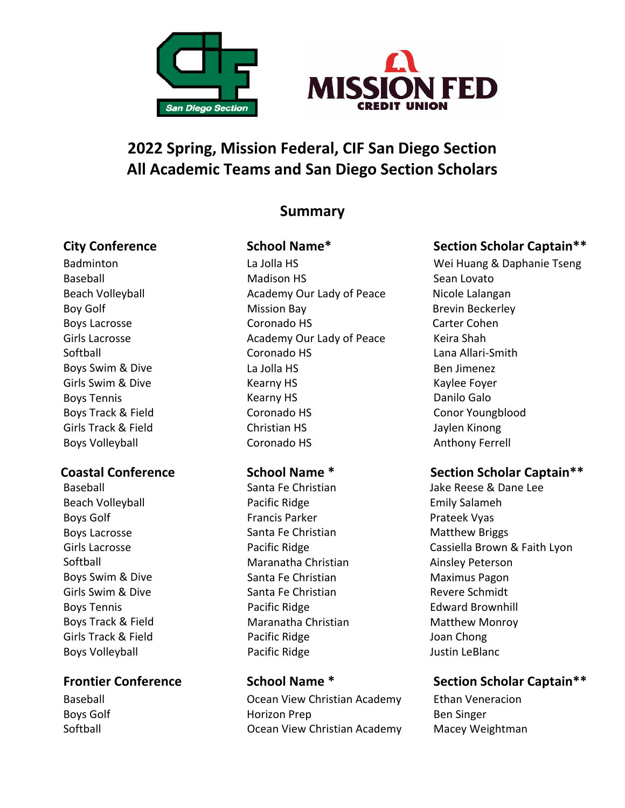



# **2022 Spring, Mission Federal, CIF San Diego Section All Academic Teams and San Diego Section Scholars**

# **Summary**

**Badminton** Baseball Beach Volleyball Boy Golf Boys Lacrosse Girls Lacrosse Softball Boys Swim & Dive Girls Swim & Dive Boys Tennis Boys Track & Field Girls Track & Field Boys Volleyball

Baseball Beach Volleyball Boys Golf Boys Lacrosse Girls Lacrosse Softball Boys Swim & Dive Girls Swim & Dive Boys Tennis Boys Track & Field Girls Track & Field Boys Volleyball

Baseball Boys Golf Softball

La Jolla HS Madison HS Academy Our Lady of Peace Mission Bay Coronado HS Academy Our Lady of Peace Coronado HS La Jolla HS Kearny HS Kearny HS Coronado HS Christian HS Coronado HS

 Santa Fe Christian Pacific Ridge Francis Parker Santa Fe Christian Pacific Ridge Maranatha Christian Santa Fe Christian Santa Fe Christian Pacific Ridge Maranatha Christian Pacific Ridge Pacific Ridge

Ocean View Christian Academy Horizon Prep Ocean View Christian Academy

# **City Conference School Name\* Section Scholar Captain\*\***

Wei Huang & Daphanie Tseng Sean Lovato Nicole Lalangan Brevin Beckerley Carter Cohen Keira Shah Lana Allari-Smith Ben Jimenez Kaylee Foyer Danilo Galo Conor Youngblood Jaylen Kinong Anthony Ferrell

### **Coastal Conference School Name \* Section Scholar Captain\*\***

 Jake Reese & Dane Lee Emily Salameh Prateek Vyas Matthew Briggs Cassiella Brown & Faith Lyon Ainsley Peterson Maximus Pagon Revere Schmidt Edward Brownhill Matthew Monroy Joan Chong Justin LeBlanc

## **Frontier Conference School Name \* Section Scholar Captain\*\***

Ethan Veneracion Ben Singer Macey Weightman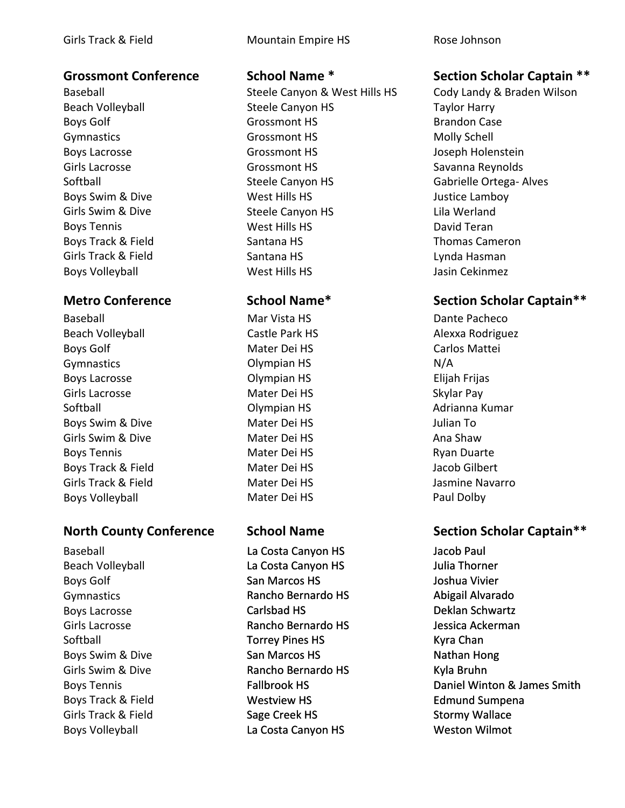Baseball Beach Volleyball Boys Golf Gymnastics Boys Lacrosse Girls Lacrosse Softball Boys Swim & Dive Girls Swim & Dive Boys Tennis Boys Track & Field Girls Track & Field Boys Volleyball

Baseball Beach Volleyball Boys Golf Gymnastics Boys Lacrosse Girls Lacrosse Softball Boys Swim & Dive Girls Swim & Dive Boys Tennis Boys Track & Field Girls Track & Field Boys Volleyball

Baseball Beach Volleyball Boys Golf Gymnastics Boys Lacrosse Girls Lacrosse Softball Boys Swim & Dive Girls Swim & Dive Boys Tennis Boys Track & Field Girls Track & Field Boys Volleyball

Girls Track & Field **Mountain Empire HS** Rose Johnson

Steele Canyon & West Hills HS Steele Canyon HS Grossmont HS Grossmont HS Grossmont HS Grossmont HS Steele Canyon HS West Hills HS Steele Canyon HS West Hills HS Santana HS Santana HS West Hills HS

 Mar Vista HS Castle Park HS Mater Dei HS Olympian HS Olympian HS Mater Dei HS Olympian HS Mater Dei HS Mater Dei HS Mater Dei HS Mater Dei HS Mater Dei HS Mater Dei HS

 La Costa Canyon HS La Costa Canyon HS San Marcos HS Rancho Bernardo HS Carlsbad HS Rancho Bernardo HS Torrey Pines HS San Marcos HS Rancho Bernardo HS Fallbrook HS Westview HS Sage Creek HS La Costa Canyon HS

### **Grossmont Conference School Name \* Section Scholar Captain \*\***

Cody Landy & Braden Wilson Taylor Harry Brandon Case Molly Schell Joseph Holenstein Savanna Reynolds Gabrielle Ortega- Alves Justice Lamboy Lila Werland David Teran Thomas Cameron Lynda Hasman Jasin Cekinmez

# **Metro Conference School Name\* Section Scholar Captain\*\***

Dante Pacheco Alexxa Rodriguez Carlos Mattei N/A Elijah Frijas Skylar Pay Adrianna Kumar Julian To Ana Shaw Ryan Duarte Jacob Gilbert Jasmine Navarro Paul Dolby

### **North County Conference School Name Section Scholar Captain\*\***

Jacob Paul Julia Thorner Joshua Vivier Abigail Alvarado Deklan Schwartz Jessica Ackerman Kyra Chan Nathan Hong Kyla Bruhn Daniel Winton & James Smith Edmund Sumpena Stormy Wallace Weston Wilmot